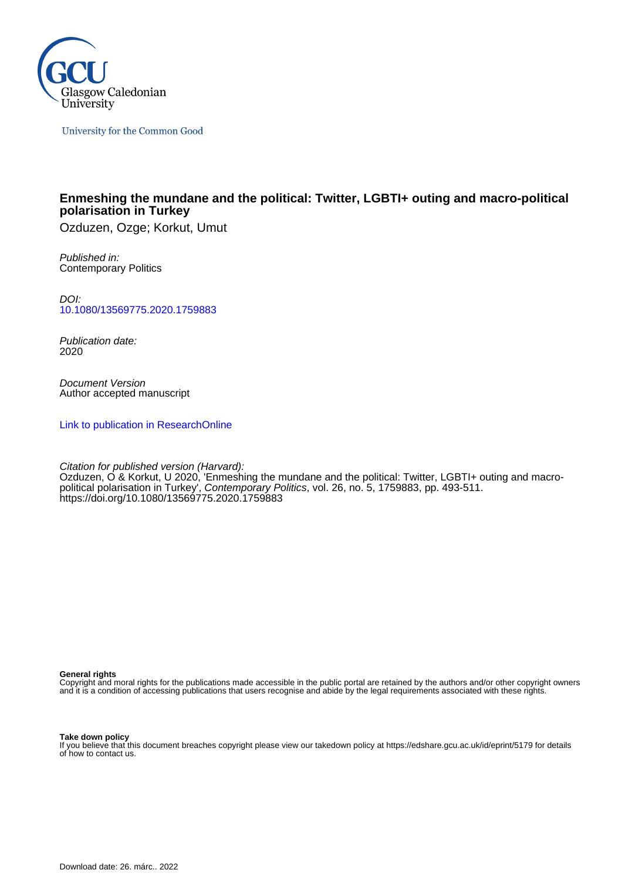

University for the Common Good

# **Enmeshing the mundane and the political: Twitter, LGBTI+ outing and macro-political polarisation in Turkey**

Ozduzen, Ozge; Korkut, Umut

Published in: Contemporary Politics

DOI: [10.1080/13569775.2020.1759883](https://doi.org/10.1080/13569775.2020.1759883)

Publication date: 2020

Document Version Author accepted manuscript

[Link to publication in ResearchOnline](https://researchonline.gcu.ac.uk/en/publications/d217acd8-9e56-45c5-9623-fcc4d98e91fc)

Citation for published version (Harvard): Ozduzen, O & Korkut, U 2020, 'Enmeshing the mundane and the political: Twitter, LGBTI+ outing and macropolitical polarisation in Turkey', Contemporary Politics, vol. 26, no. 5, 1759883, pp. 493-511. <https://doi.org/10.1080/13569775.2020.1759883>

**General rights**

Copyright and moral rights for the publications made accessible in the public portal are retained by the authors and/or other copyright owners and it is a condition of accessing publications that users recognise and abide by the legal requirements associated with these rights.

**Take down policy**

If you believe that this document breaches copyright please view our takedown policy at https://edshare.gcu.ac.uk/id/eprint/5179 for details of how to contact us.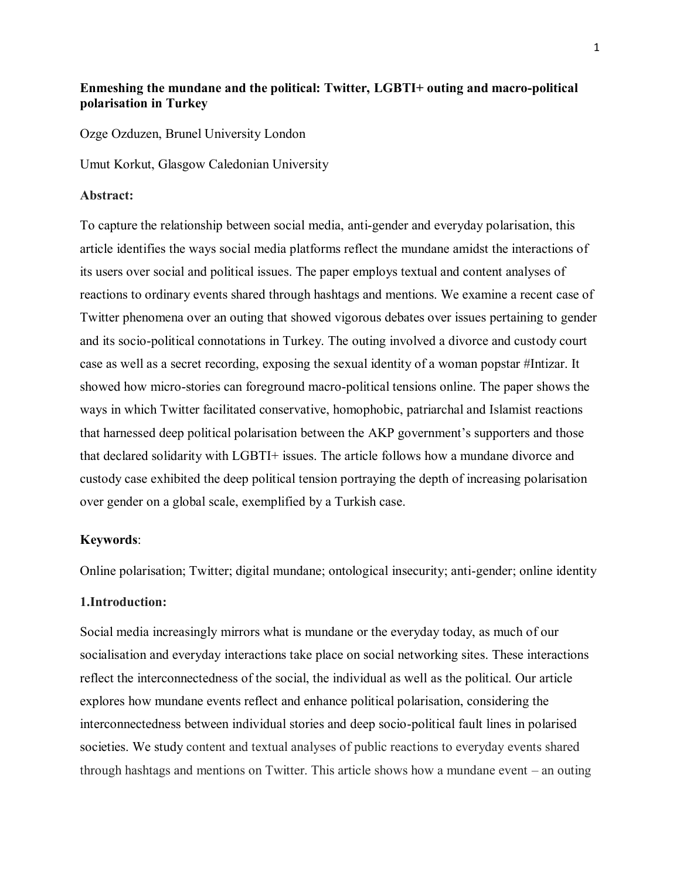## **Enmeshing the mundane and the political: Twitter, LGBTI+ outing and macro-political polarisation in Turkey**

Ozge Ozduzen, Brunel University London

Umut Korkut, Glasgow Caledonian University

## **Abstract:**

To capture the relationship between social media, anti-gender and everyday polarisation, this article identifies the ways social media platforms reflect the mundane amidst the interactions of its users over social and political issues. The paper employs textual and content analyses of reactions to ordinary events shared through hashtags and mentions. We examine a recent case of Twitter phenomena over an outing that showed vigorous debates over issues pertaining to gender and its socio-political connotations in Turkey. The outing involved a divorce and custody court case as well as a secret recording, exposing the sexual identity of a woman popstar #Intizar. It showed how micro-stories can foreground macro-political tensions online. The paper shows the ways in which Twitter facilitated conservative, homophobic, patriarchal and Islamist reactions that harnessed deep political polarisation between the AKP government's supporters and those that declared solidarity with LGBTI+ issues. The article follows how a mundane divorce and custody case exhibited the deep political tension portraying the depth of increasing polarisation over gender on a global scale, exemplified by a Turkish case.

## **Keywords**:

Online polarisation; Twitter; digital mundane; ontological insecurity; anti-gender; online identity

## **1.Introduction:**

Social media increasingly mirrors what is mundane or the everyday today, as much of our socialisation and everyday interactions take place on social networking sites. These interactions reflect the interconnectedness of the social, the individual as well as the political. Our article explores how mundane events reflect and enhance political polarisation, considering the interconnectedness between individual stories and deep socio-political fault lines in polarised societies. We study content and textual analyses of public reactions to everyday events shared through hashtags and mentions on Twitter. This article shows how a mundane event – an outing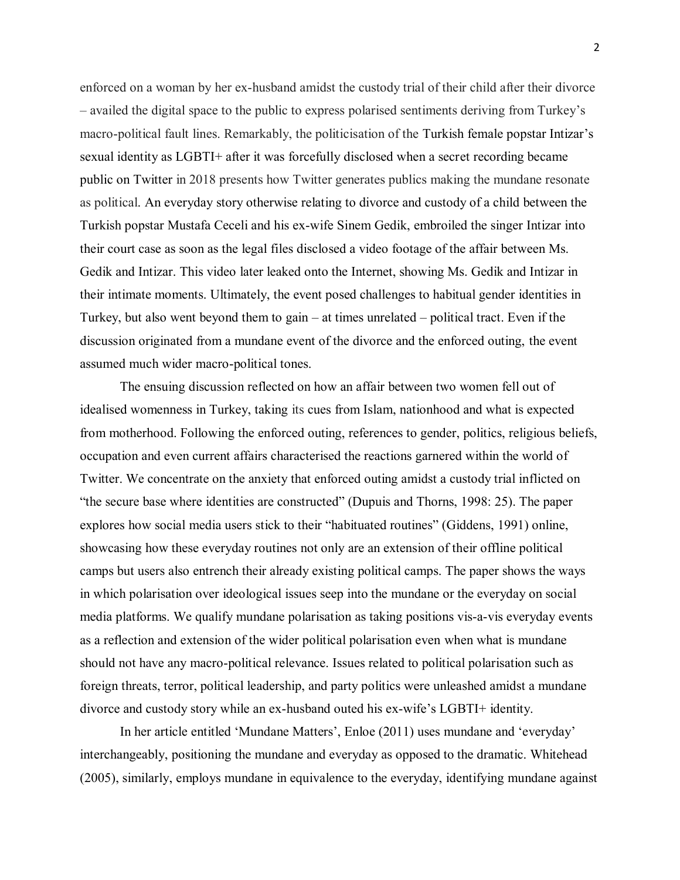enforced on a woman by her ex-husband amidst the custody trial of their child after their divorce – availed the digital space to the public to express polarised sentiments deriving from Turkey's macro-political fault lines. Remarkably, the politicisation of the Turkish female popstar Intizar's sexual identity as LGBTI+ after it was forcefully disclosed when a secret recording became public on Twitter in 2018 presents how Twitter generates publics making the mundane resonate as political. An everyday story otherwise relating to divorce and custody of a child between the Turkish popstar Mustafa Ceceli and his ex-wife Sinem Gedik, embroiled the singer Intizar into their court case as soon as the legal files disclosed a video footage of the affair between Ms. Gedik and Intizar. This video later leaked onto the Internet, showing Ms. Gedik and Intizar in their intimate moments. Ultimately, the event posed challenges to habitual gender identities in Turkey, but also went beyond them to gain – at times unrelated – political tract. Even if the discussion originated from a mundane event of the divorce and the enforced outing, the event assumed much wider macro-political tones.

The ensuing discussion reflected on how an affair between two women fell out of idealised womenness in Turkey, taking its cues from Islam, nationhood and what is expected from motherhood. Following the enforced outing, references to gender, politics, religious beliefs, occupation and even current affairs characterised the reactions garnered within the world of Twitter. We concentrate on the anxiety that enforced outing amidst a custody trial inflicted on "the secure base where identities are constructed" (Dupuis and Thorns, 1998: 25). The paper explores how social media users stick to their "habituated routines" (Giddens, 1991) online, showcasing how these everyday routines not only are an extension of their offline political camps but users also entrench their already existing political camps. The paper shows the ways in which polarisation over ideological issues seep into the mundane or the everyday on social media platforms. We qualify mundane polarisation as taking positions vis-a-vis everyday events as a reflection and extension of the wider political polarisation even when what is mundane should not have any macro-political relevance. Issues related to political polarisation such as foreign threats, terror, political leadership, and party politics were unleashed amidst a mundane divorce and custody story while an ex-husband outed his ex-wife's LGBTI+ identity.

In her article entitled 'Mundane Matters', Enloe (2011) uses mundane and 'everyday' interchangeably, positioning the mundane and everyday as opposed to the dramatic. Whitehead (2005), similarly, employs mundane in equivalence to the everyday, identifying mundane against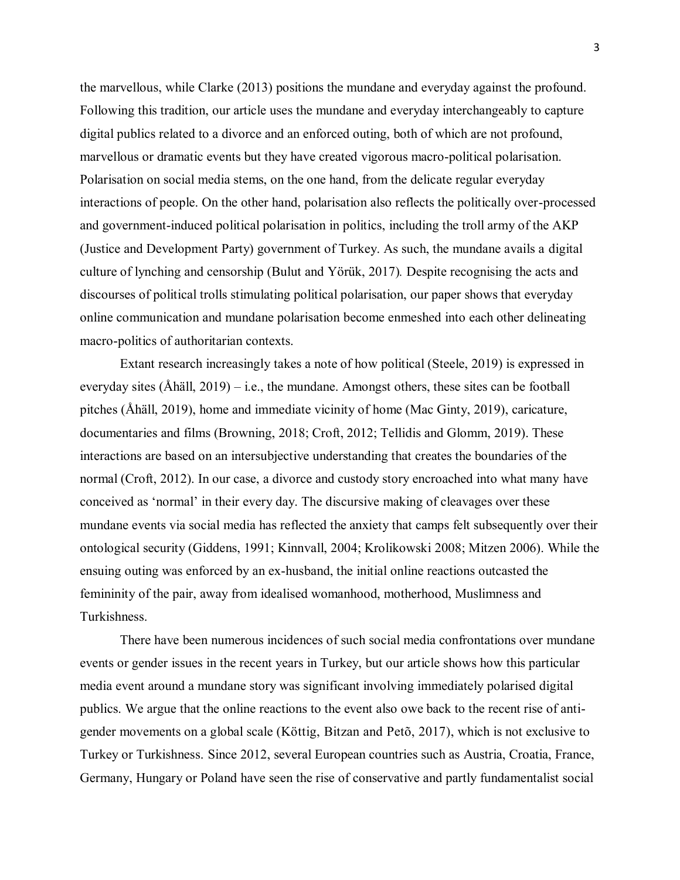the marvellous, while Clarke (2013) positions the mundane and everyday against the profound. Following this tradition, our article uses the mundane and everyday interchangeably to capture digital publics related to a divorce and an enforced outing, both of which are not profound, marvellous or dramatic events but they have created vigorous macro-political polarisation. Polarisation on social media stems, on the one hand, from the delicate regular everyday interactions of people. On the other hand, polarisation also reflects the politically over-processed and government-induced political polarisation in politics, including the troll army of the AKP (Justice and Development Party) government of Turkey. As such, the mundane avails a digital culture of lynching and censorship (Bulut and Yörük, 2017)*.* Despite recognising the acts and discourses of political trolls stimulating political polarisation, our paper shows that everyday online communication and mundane polarisation become enmeshed into each other delineating macro-politics of authoritarian contexts.

Extant research increasingly takes a note of how political (Steele, 2019) is expressed in everyday sites ( $\hat{A}$ häll, 2019) – i.e., the mundane. Amongst others, these sites can be football pitches (Åhäll, 2019), home and immediate vicinity of home (Mac Ginty, 2019), caricature, documentaries and films (Browning, 2018; Croft, 2012; Tellidis and Glomm, 2019). These interactions are based on an intersubjective understanding that creates the boundaries of the normal (Croft, 2012). In our case, a divorce and custody story encroached into what many have conceived as 'normal' in their every day. The discursive making of cleavages over these mundane events via social media has reflected the anxiety that camps felt subsequently over their ontological security (Giddens, 1991; Kinnvall, 2004; Krolikowski 2008; Mitzen 2006). While the ensuing outing was enforced by an ex-husband, the initial online reactions outcasted the femininity of the pair, away from idealised womanhood, motherhood, Muslimness and Turkishness.

There have been numerous incidences of such social media confrontations over mundane events or gender issues in the recent years in Turkey, but our article shows how this particular media event around a mundane story was significant involving immediately polarised digital publics. We argue that the online reactions to the event also owe back to the recent rise of antigender movements on a global scale (Köttig, Bitzan and Petõ, 2017), which is not exclusive to Turkey or Turkishness. Since 2012, several European countries such as Austria, Croatia, France, Germany, Hungary or Poland have seen the rise of conservative and partly fundamentalist social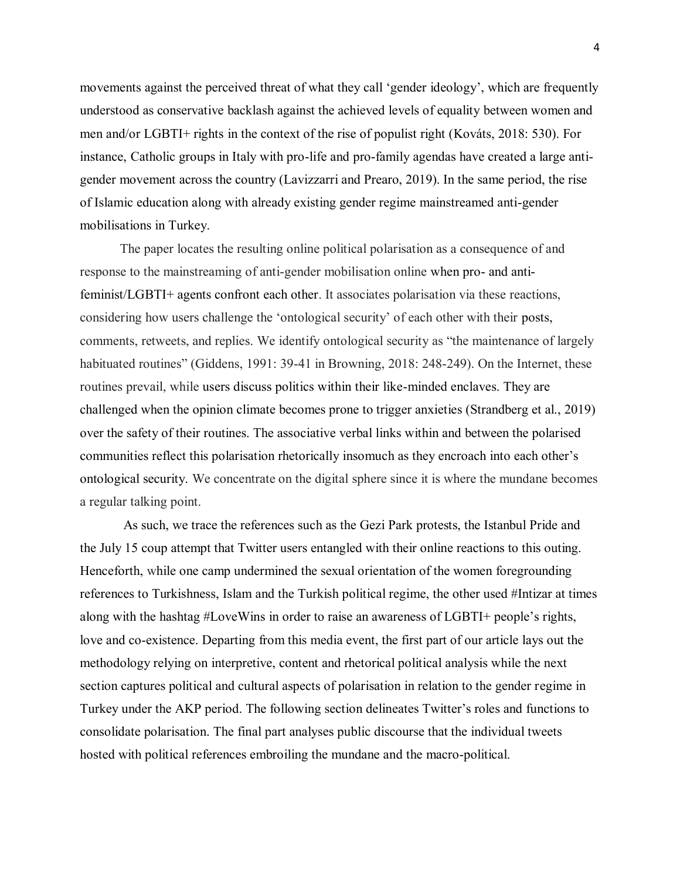movements against the perceived threat of what they call 'gender ideology', which are frequently understood as conservative backlash against the achieved levels of equality between women and men and/or LGBTI+ rights in the context of the rise of populist right (Kováts, 2018: 530). For instance, Catholic groups in Italy with pro-life and pro-family agendas have created a large antigender movement across the country (Lavizzarri and Prearo, 2019). In the same period, the rise of Islamic education along with already existing gender regime mainstreamed anti-gender mobilisations in Turkey.

The paper locates the resulting online political polarisation as a consequence of and response to the mainstreaming of anti-gender mobilisation online when pro- and antifeminist/LGBTI+ agents confront each other. It associates polarisation via these reactions, considering how users challenge the 'ontological security' of each other with their posts, comments, retweets, and replies. We identify ontological security as "the maintenance of largely habituated routines" (Giddens, 1991: 39-41 in Browning, 2018: 248-249). On the Internet, these routines prevail, while users discuss politics within their like-minded enclaves. They are challenged when the opinion climate becomes prone to trigger anxieties (Strandberg et al., 2019) over the safety of their routines. The associative verbal links within and between the polarised communities reflect this polarisation rhetorically insomuch as they encroach into each other's ontological security. We concentrate on the digital sphere since it is where the mundane becomes a regular talking point.

As such, we trace the references such as the Gezi Park protests, the Istanbul Pride and the July 15 coup attempt that Twitter users entangled with their online reactions to this outing. Henceforth, while one camp undermined the sexual orientation of the women foregrounding references to Turkishness, Islam and the Turkish political regime, the other used #Intizar at times along with the hashtag #LoveWins in order to raise an awareness of LGBTI+ people's rights, love and co-existence. Departing from this media event, the first part of our article lays out the methodology relying on interpretive, content and rhetorical political analysis while the next section captures political and cultural aspects of polarisation in relation to the gender regime in Turkey under the AKP period. The following section delineates Twitter's roles and functions to consolidate polarisation. The final part analyses public discourse that the individual tweets hosted with political references embroiling the mundane and the macro-political.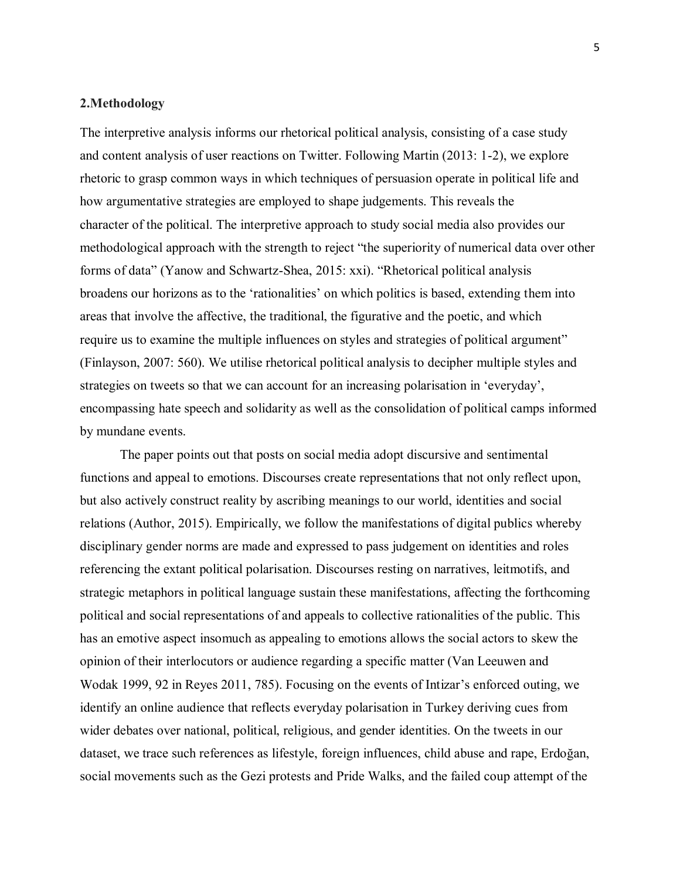## **2.Methodology**

The interpretive analysis informs our rhetorical political analysis, consisting of a case study and content analysis of user reactions on Twitter. Following Martin (2013: 1-2), we explore rhetoric to grasp common ways in which techniques of persuasion operate in political life and how argumentative strategies are employed to shape judgements. This reveals the character of the political. The interpretive approach to study social media also provides our methodological approach with the strength to reject "the superiority of numerical data over other forms of data" (Yanow and Schwartz-Shea, 2015: xxi). "Rhetorical political analysis broadens our horizons as to the 'rationalities' on which politics is based, extending them into areas that involve the affective, the traditional, the figurative and the poetic, and which require us to examine the multiple influences on styles and strategies of political argument" (Finlayson, 2007: 560). We utilise rhetorical political analysis to decipher multiple styles and strategies on tweets so that we can account for an increasing polarisation in 'everyday', encompassing hate speech and solidarity as well as the consolidation of political camps informed by mundane events.

The paper points out that posts on social media adopt discursive and sentimental functions and appeal to emotions. Discourses create representations that not only reflect upon, but also actively construct reality by ascribing meanings to our world, identities and social relations (Author, 2015). Empirically, we follow the manifestations of digital publics whereby disciplinary gender norms are made and expressed to pass judgement on identities and roles referencing the extant political polarisation. Discourses resting on narratives, leitmotifs, and strategic metaphors in political language sustain these manifestations, affecting the forthcoming political and social representations of and appeals to collective rationalities of the public. This has an emotive aspect insomuch as appealing to emotions allows the social actors to skew the opinion of their interlocutors or audience regarding a specific matter (Van Leeuwen and Wodak 1999, 92 in Reyes 2011, 785). Focusing on the events of Intizar's enforced outing, we identify an online audience that reflects everyday polarisation in Turkey deriving cues from wider debates over national, political, religious, and gender identities. On the tweets in our dataset, we trace such references as lifestyle, foreign influences, child abuse and rape, Erdoğan, social movements such as the Gezi protests and Pride Walks, and the failed coup attempt of the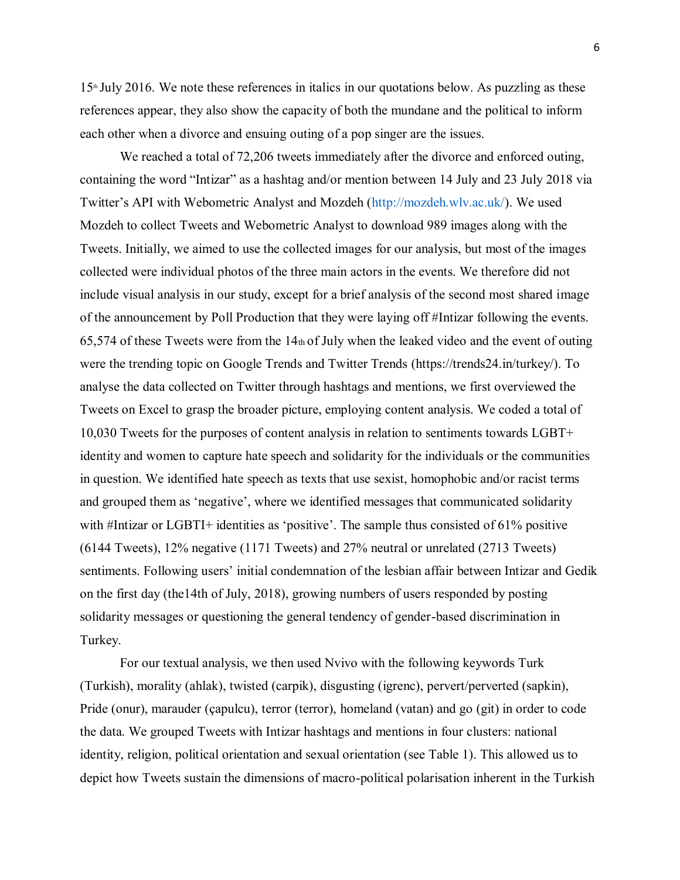$15<sup>th</sup>$  July 2016. We note these references in italics in our quotations below. As puzzling as these references appear, they also show the capacity of both the mundane and the political to inform each other when a divorce and ensuing outing of a pop singer are the issues.

We reached a total of 72,206 tweets immediately after the divorce and enforced outing, containing the word "Intizar" as a hashtag and/or mention between 14 July and 23 July 2018 via Twitter's API with Webometric Analyst and Mozdeh (http://mozdeh.wlv.ac.uk/). We used Mozdeh to collect Tweets and Webometric Analyst to download 989 images along with the Tweets. Initially, we aimed to use the collected images for our analysis, but most of the images collected were individual photos of the three main actors in the events. We therefore did not include visual analysis in our study, except for a brief analysis of the second most shared image of the announcement by Poll Production that they were laying off #Intizar following the events. 65,574 of these Tweets were from the 14th of July when the leaked video and the event of outing were the trending topic on Google Trends and Twitter Trends (https://trends24.in/turkey/). To analyse the data collected on Twitter through hashtags and mentions, we first overviewed the Tweets on Excel to grasp the broader picture, employing content analysis. We coded a total of 10,030 Tweets for the purposes of content analysis in relation to sentiments towards LGBT+ identity and women to capture hate speech and solidarity for the individuals or the communities in question. We identified hate speech as texts that use sexist, homophobic and/or racist terms and grouped them as 'negative', where we identified messages that communicated solidarity with #Intizar or LGBTI+ identities as 'positive'. The sample thus consisted of 61% positive (6144 Tweets), 12% negative (1171 Tweets) and 27% neutral or unrelated (2713 Tweets) sentiments. Following users' initial condemnation of the lesbian affair between Intizar and Gedik on the first day (the14th of July, 2018), growing numbers of users responded by posting solidarity messages or questioning the general tendency of gender-based discrimination in Turkey.

For our textual analysis, we then used Nvivo with the following keywords Turk (Turkish), morality (ahlak), twisted (carpik), disgusting (igrenc), pervert/perverted (sapkin), Pride (onur), marauder (çapulcu), terror (terror), homeland (vatan) and go (git) in order to code the data. We grouped Tweets with Intizar hashtags and mentions in four clusters: national identity, religion, political orientation and sexual orientation (see Table 1). This allowed us to depict how Tweets sustain the dimensions of macro-political polarisation inherent in the Turkish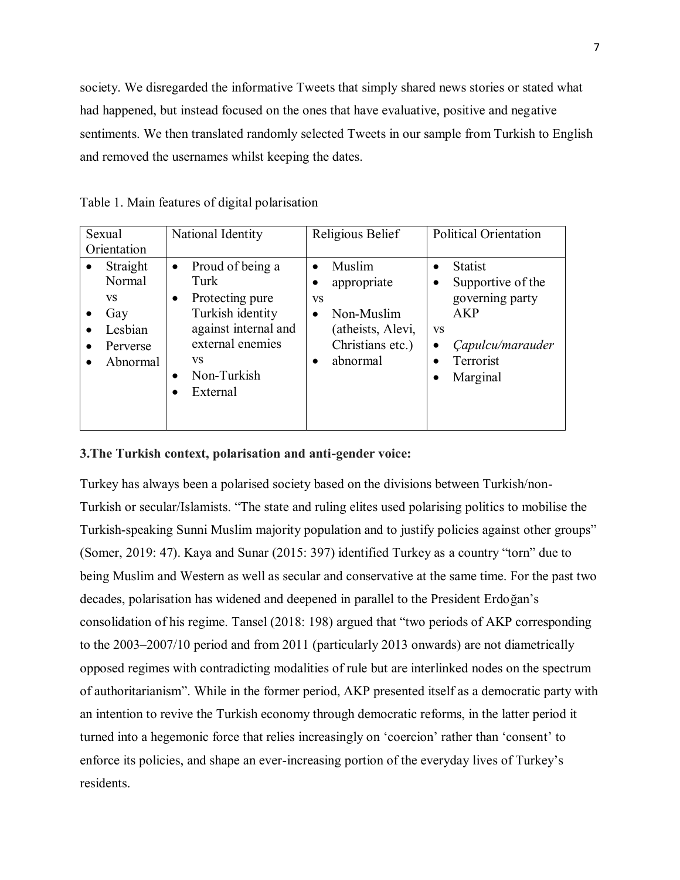society. We disregarded the informative Tweets that simply shared news stories or stated what had happened, but instead focused on the ones that have evaluative, positive and negative sentiments. We then translated randomly selected Tweets in our sample from Turkish to English and removed the usernames whilst keeping the dates.

| Sexual<br>Orientation                                                                  | National Identity                                                                                                                                                           | Religious Belief                                                                                                   | <b>Political Orientation</b>                                                                                                          |
|----------------------------------------------------------------------------------------|-----------------------------------------------------------------------------------------------------------------------------------------------------------------------------|--------------------------------------------------------------------------------------------------------------------|---------------------------------------------------------------------------------------------------------------------------------------|
| Straight<br>$\bullet$<br>Normal<br><b>VS</b><br>Gay<br>Lesbian<br>Perverse<br>Abnormal | Proud of being a<br>$\bullet$<br>Turk<br>Protecting pure<br>٠<br>Turkish identity<br>against internal and<br>external enemies<br>VS<br>Non-Turkish<br>$\bullet$<br>External | Muslim<br>$\bullet$<br>appropriate<br><b>VS</b><br>Non-Muslim<br>(atheists, Alevi,<br>Christians etc.)<br>abnormal | <b>Statist</b><br>Supportive of the<br>governing party<br><b>AKP</b><br><b>VS</b><br><i>Capulcu/marauder</i><br>Terrorist<br>Marginal |

Table 1. Main features of digital polarisation

## **3.The Turkish context, polarisation and anti-gender voice:**

Turkey has always been a polarised society based on the divisions between Turkish/non-Turkish or secular/Islamists. "The state and ruling elites used polarising politics to mobilise the Turkish-speaking Sunni Muslim majority population and to justify policies against other groups" (Somer, 2019: 47). Kaya and Sunar (2015: 397) identified Turkey as a country "torn" due to being Muslim and Western as well as secular and conservative at the same time. For the past two decades, polarisation has widened and deepened in parallel to the President Erdoğan's consolidation of his regime. Tansel (2018: 198) argued that "two periods of AKP corresponding to the 2003–2007/10 period and from 2011 (particularly 2013 onwards) are not diametrically opposed regimes with contradicting modalities of rule but are interlinked nodes on the spectrum of authoritarianism". While in the former period, AKP presented itself as a democratic party with an intention to revive the Turkish economy through democratic reforms, in the latter period it turned into a hegemonic force that relies increasingly on 'coercion' rather than 'consent' to enforce its policies, and shape an ever-increasing portion of the everyday lives of Turkey's residents.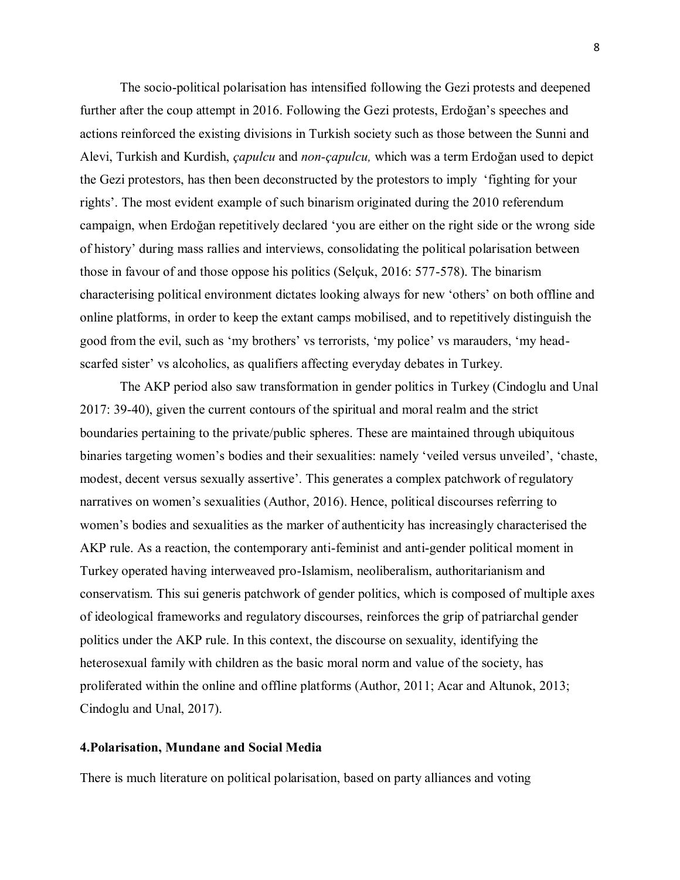The socio-political polarisation has intensified following the Gezi protests and deepened further after the coup attempt in 2016. Following the Gezi protests, Erdoğan's speeches and actions reinforced the existing divisions in Turkish society such as those between the Sunni and Alevi, Turkish and Kurdish, *çapulcu* and *non-çapulcu,* which was a term Erdoğan used to depict the Gezi protestors, has then been deconstructed by the protestors to imply 'fighting for your rights'. The most evident example of such binarism originated during the 2010 referendum campaign, when Erdoğan repetitively declared 'you are either on the right side or the wrong side of history' during mass rallies and interviews, consolidating the political polarisation between those in favour of and those oppose his politics (Selçuk, 2016: 577-578). The binarism characterising political environment dictates looking always for new 'others' on both offline and online platforms, in order to keep the extant camps mobilised, and to repetitively distinguish the good from the evil, such as 'my brothers' vs terrorists, 'my police' vs marauders, 'my headscarfed sister' vs alcoholics, as qualifiers affecting everyday debates in Turkey.

The AKP period also saw transformation in gender politics in Turkey (Cindoglu and Unal 2017: 39-40), given the current contours of the spiritual and moral realm and the strict boundaries pertaining to the private/public spheres. These are maintained through ubiquitous binaries targeting women's bodies and their sexualities: namely 'veiled versus unveiled', 'chaste, modest, decent versus sexually assertive'. This generates a complex patchwork of regulatory narratives on women's sexualities (Author, 2016). Hence, political discourses referring to women's bodies and sexualities as the marker of authenticity has increasingly characterised the AKP rule. As a reaction, the contemporary anti-feminist and anti-gender political moment in Turkey operated having interweaved pro-Islamism, neoliberalism, authoritarianism and conservatism. This sui generis patchwork of gender politics, which is composed of multiple axes of ideological frameworks and regulatory discourses, reinforces the grip of patriarchal gender politics under the AKP rule. In this context, the discourse on sexuality, identifying the heterosexual family with children as the basic moral norm and value of the society, has proliferated within the online and offline platforms (Author, 2011; Acar and Altunok, 2013; Cindoglu and Unal, 2017).

## **4.Polarisation, Mundane and Social Media**

There is much literature on political polarisation, based on party alliances and voting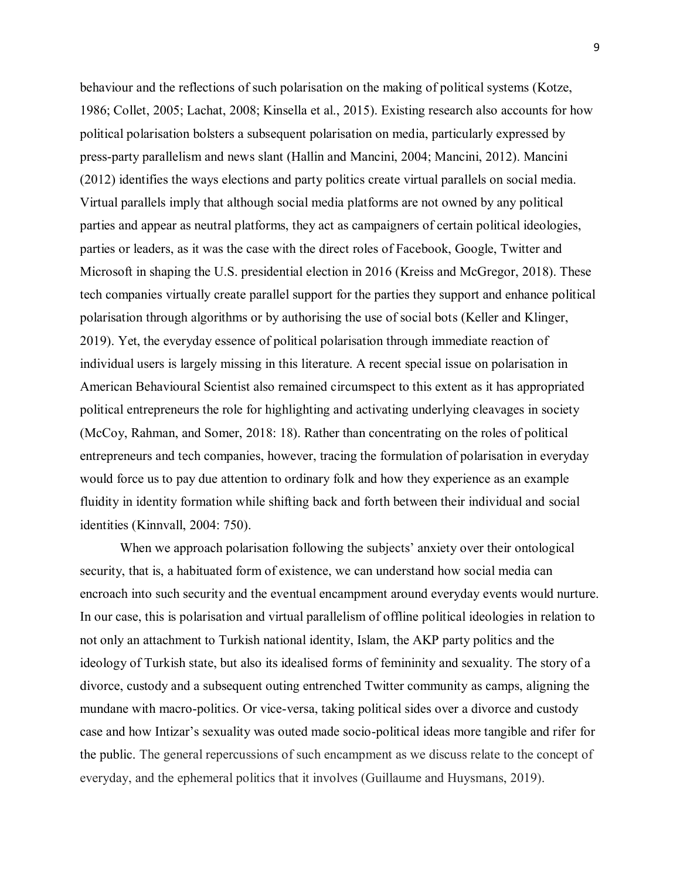behaviour and the reflections of such polarisation on the making of political systems (Kotze, 1986; Collet, 2005; Lachat, 2008; Kinsella et al., 2015). Existing research also accounts for how political polarisation bolsters a subsequent polarisation on media, particularly expressed by press-party parallelism and news slant (Hallin and Mancini, 2004; Mancini, 2012). Mancini (2012) identifies the ways elections and party politics create virtual parallels on social media. Virtual parallels imply that although social media platforms are not owned by any political parties and appear as neutral platforms, they act as campaigners of certain political ideologies, parties or leaders, as it was the case with the direct roles of Facebook, Google, Twitter and Microsoft in shaping the U.S. presidential election in 2016 (Kreiss and McGregor, 2018). These tech companies virtually create parallel support for the parties they support and enhance political polarisation through algorithms or by authorising the use of social bots (Keller and Klinger, 2019). Yet, the everyday essence of political polarisation through immediate reaction of individual users is largely missing in this literature. A recent special issue on polarisation in American Behavioural Scientist also remained circumspect to this extent as it has appropriated political entrepreneurs the role for highlighting and activating underlying cleavages in society (McCoy, Rahman, and Somer, 2018: 18). Rather than concentrating on the roles of political entrepreneurs and tech companies, however, tracing the formulation of polarisation in everyday would force us to pay due attention to ordinary folk and how they experience as an example fluidity in identity formation while shifting back and forth between their individual and social identities (Kinnvall, 2004: 750).

When we approach polarisation following the subjects' anxiety over their ontological security, that is, a habituated form of existence, we can understand how social media can encroach into such security and the eventual encampment around everyday events would nurture. In our case, this is polarisation and virtual parallelism of offline political ideologies in relation to not only an attachment to Turkish national identity, Islam, the AKP party politics and the ideology of Turkish state, but also its idealised forms of femininity and sexuality. The story of a divorce, custody and a subsequent outing entrenched Twitter community as camps, aligning the mundane with macro-politics. Or vice-versa, taking political sides over a divorce and custody case and how Intizar's sexuality was outed made socio-political ideas more tangible and rifer for the public. The general repercussions of such encampment as we discuss relate to the concept of everyday, and the ephemeral politics that it involves (Guillaume and Huysmans, 2019).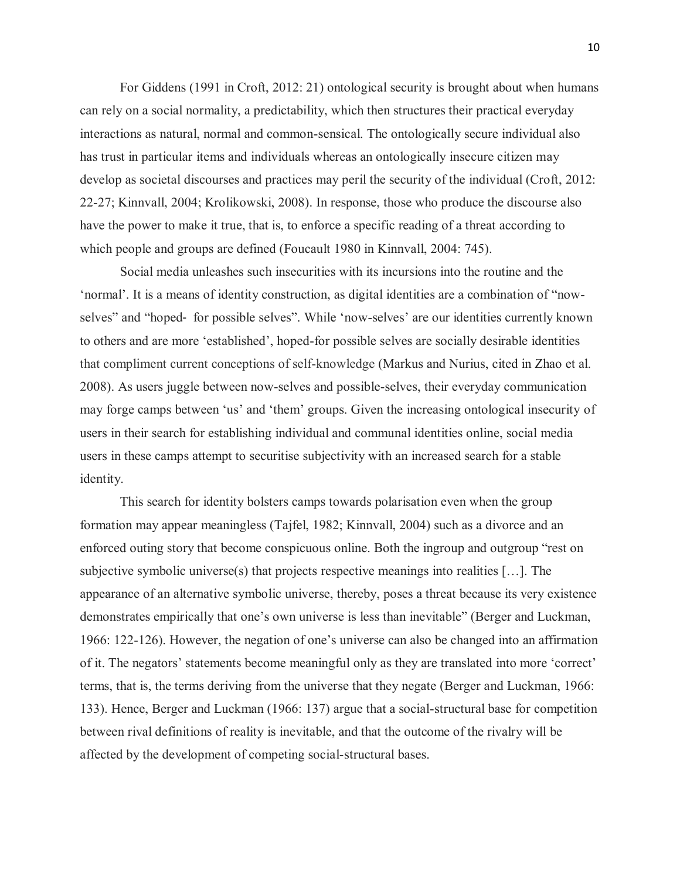For Giddens (1991 in Croft, 2012: 21) ontological security is brought about when humans can rely on a social normality, a predictability, which then structures their practical everyday interactions as natural, normal and common-sensical. The ontologically secure individual also has trust in particular items and individuals whereas an ontologically insecure citizen may develop as societal discourses and practices may peril the security of the individual (Croft, 2012: 22-27; Kinnvall, 2004; Krolikowski, 2008). In response, those who produce the discourse also have the power to make it true, that is, to enforce a specific reading of a threat according to which people and groups are defined (Foucault 1980 in Kinnvall, 2004: 745).

Social media unleashes such insecurities with its incursions into the routine and the 'normal'. It is a means of identity construction, as digital identities are a combination of "nowselves" and "hoped‐ for possible selves". While 'now-selves' are our identities currently known to others and are more 'established', hoped-for possible selves are socially desirable identities that compliment current conceptions of self-knowledge (Markus and Nurius, cited in Zhao et al. 2008). As users juggle between now-selves and possible-selves, their everyday communication may forge camps between 'us' and 'them' groups. Given the increasing ontological insecurity of users in their search for establishing individual and communal identities online, social media users in these camps attempt to securitise subjectivity with an increased search for a stable identity.

This search for identity bolsters camps towards polarisation even when the group formation may appear meaningless (Tajfel, 1982; Kinnvall, 2004) such as a divorce and an enforced outing story that become conspicuous online. Both the ingroup and outgroup "rest on subjective symbolic universe(s) that projects respective meanings into realities […]. The appearance of an alternative symbolic universe, thereby, poses a threat because its very existence demonstrates empirically that one's own universe is less than inevitable" (Berger and Luckman, 1966: 122-126). However, the negation of one's universe can also be changed into an affirmation of it. The negators' statements become meaningful only as they are translated into more 'correct' terms, that is, the terms deriving from the universe that they negate (Berger and Luckman, 1966: 133). Hence, Berger and Luckman (1966: 137) argue that a social-structural base for competition between rival definitions of reality is inevitable, and that the outcome of the rivalry will be affected by the development of competing social-structural bases.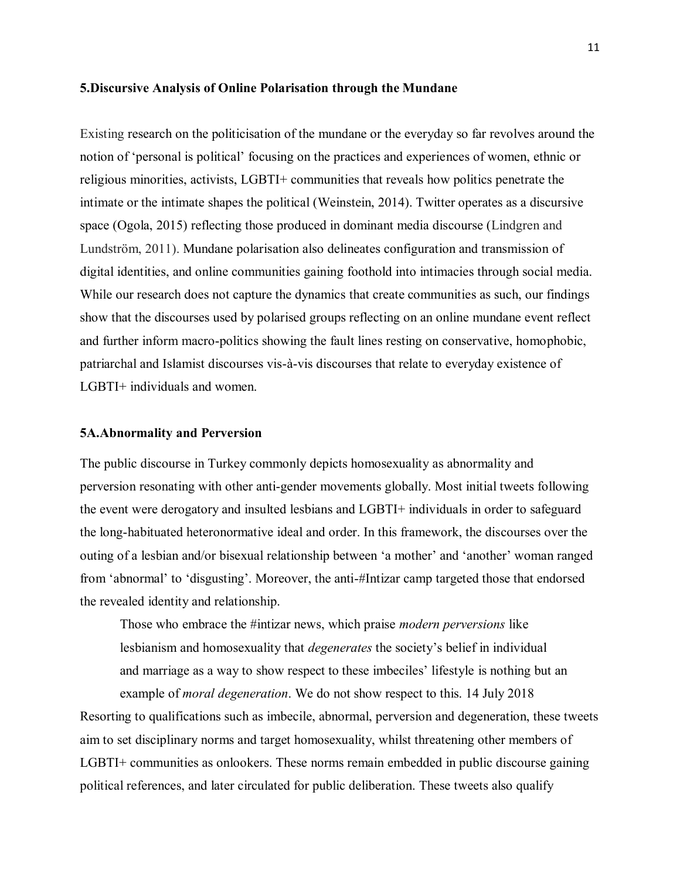## **5.Discursive Analysis of Online Polarisation through the Mundane**

Existing research on the politicisation of the mundane or the everyday so far revolves around the notion of 'personal is political' focusing on the practices and experiences of women, ethnic or religious minorities, activists, LGBTI+ communities that reveals how politics penetrate the intimate or the intimate shapes the political (Weinstein, 2014). Twitter operates as a discursive space (Ogola, 2015) reflecting those produced in dominant media discourse (Lindgren and Lundström, 2011). Mundane polarisation also delineates configuration and transmission of digital identities, and online communities gaining foothold into intimacies through social media. While our research does not capture the dynamics that create communities as such, our findings show that the discourses used by polarised groups reflecting on an online mundane event reflect and further inform macro-politics showing the fault lines resting on conservative, homophobic, patriarchal and Islamist discourses vis-à-vis discourses that relate to everyday existence of LGBTI+ individuals and women.

## **5A.Abnormality and Perversion**

The public discourse in Turkey commonly depicts homosexuality as abnormality and perversion resonating with other anti-gender movements globally. Most initial tweets following the event were derogatory and insulted lesbians and LGBTI+ individuals in order to safeguard the long-habituated heteronormative ideal and order. In this framework, the discourses over the outing of a lesbian and/or bisexual relationship between 'a mother' and 'another' woman ranged from 'abnormal' to 'disgusting'. Moreover, the anti-#Intizar camp targeted those that endorsed the revealed identity and relationship.

Those who embrace the #intizar news, which praise *modern perversions* like lesbianism and homosexuality that *degenerates* the society's belief in individual and marriage as a way to show respect to these imbeciles' lifestyle is nothing but an example of *moral degeneration*. We do not show respect to this. 14 July 2018

Resorting to qualifications such as imbecile, abnormal, perversion and degeneration, these tweets aim to set disciplinary norms and target homosexuality, whilst threatening other members of LGBTI+ communities as onlookers. These norms remain embedded in public discourse gaining political references, and later circulated for public deliberation. These tweets also qualify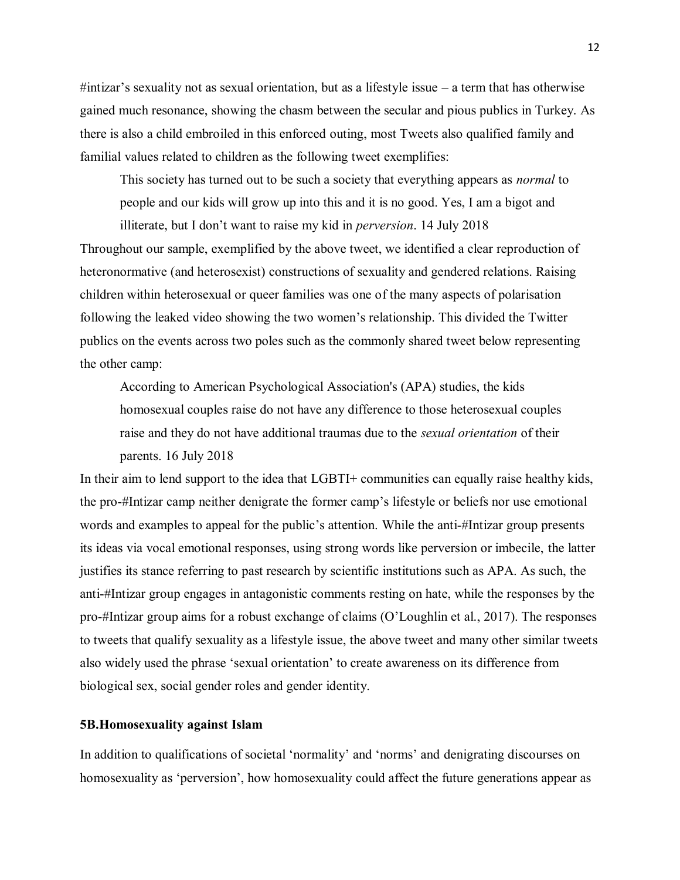#intizar's sexuality not as sexual orientation, but as a lifestyle issue – a term that has otherwise gained much resonance, showing the chasm between the secular and pious publics in Turkey. As there is also a child embroiled in this enforced outing, most Tweets also qualified family and familial values related to children as the following tweet exemplifies:

This society has turned out to be such a society that everything appears as *normal* to people and our kids will grow up into this and it is no good. Yes, I am a bigot and

illiterate, but I don't want to raise my kid in *perversion*. 14 July 2018 Throughout our sample, exemplified by the above tweet, we identified a clear reproduction of heteronormative (and heterosexist) constructions of sexuality and gendered relations. Raising children within heterosexual or queer families was one of the many aspects of polarisation following the leaked video showing the two women's relationship. This divided the Twitter publics on the events across two poles such as the commonly shared tweet below representing the other camp:

According to American Psychological Association's (APA) studies, the kids homosexual couples raise do not have any difference to those heterosexual couples raise and they do not have additional traumas due to the *sexual orientation* of their parents. 16 July 2018

In their aim to lend support to the idea that LGBTI+ communities can equally raise healthy kids, the pro-#Intizar camp neither denigrate the former camp's lifestyle or beliefs nor use emotional words and examples to appeal for the public's attention. While the anti-#Intizar group presents its ideas via vocal emotional responses, using strong words like perversion or imbecile, the latter justifies its stance referring to past research by scientific institutions such as APA. As such, the anti-#Intizar group engages in antagonistic comments resting on hate, while the responses by the pro-#Intizar group aims for a robust exchange of claims (O'Loughlin et al., 2017). The responses to tweets that qualify sexuality as a lifestyle issue, the above tweet and many other similar tweets also widely used the phrase 'sexual orientation' to create awareness on its difference from biological sex, social gender roles and gender identity.

## **5B.Homosexuality against Islam**

In addition to qualifications of societal 'normality' and 'norms' and denigrating discourses on homosexuality as 'perversion', how homosexuality could affect the future generations appear as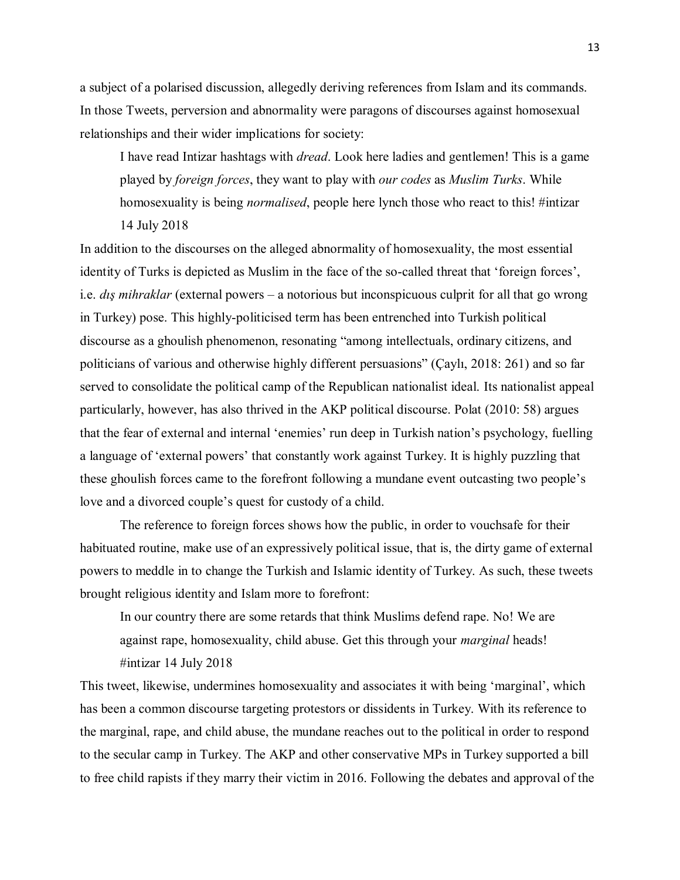a subject of a polarised discussion, allegedly deriving references from Islam and its commands. In those Tweets, perversion and abnormality were paragons of discourses against homosexual relationships and their wider implications for society:

I have read Intizar hashtags with *dread*. Look here ladies and gentlemen! This is a game played by *foreign forces*, they want to play with *our codes* as *Muslim Turks*. While homosexuality is being *normalised*, people here lynch those who react to this! #intizar 14 July 2018

In addition to the discourses on the alleged abnormality of homosexuality, the most essential identity of Turks is depicted as Muslim in the face of the so-called threat that 'foreign forces', i.e. *dış mihraklar* (external powers – a notorious but inconspicuous culprit for all that go wrong in Turkey) pose. This highly-politicised term has been entrenched into Turkish political discourse as a ghoulish phenomenon, resonating "among intellectuals, ordinary citizens, and politicians of various and otherwise highly different persuasions" (Çaylı, 2018: 261) and so far served to consolidate the political camp of the Republican nationalist ideal. Its nationalist appeal particularly, however, has also thrived in the AKP political discourse. Polat (2010: 58) argues that the fear of external and internal 'enemies' run deep in Turkish nation's psychology, fuelling a language of 'external powers' that constantly work against Turkey. It is highly puzzling that these ghoulish forces came to the forefront following a mundane event outcasting two people's love and a divorced couple's quest for custody of a child.

The reference to foreign forces shows how the public, in order to vouchsafe for their habituated routine, make use of an expressively political issue, that is, the dirty game of external powers to meddle in to change the Turkish and Islamic identity of Turkey. As such, these tweets brought religious identity and Islam more to forefront:

In our country there are some retards that think Muslims defend rape. No! We are against rape, homosexuality, child abuse. Get this through your *marginal* heads! #intizar 14 July 2018

This tweet, likewise, undermines homosexuality and associates it with being 'marginal', which has been a common discourse targeting protestors or dissidents in Turkey. With its reference to the marginal, rape, and child abuse, the mundane reaches out to the political in order to respond to the secular camp in Turkey. The AKP and other conservative MPs in Turkey supported a bill to free child rapists if they marry their victim in 2016. Following the debates and approval of the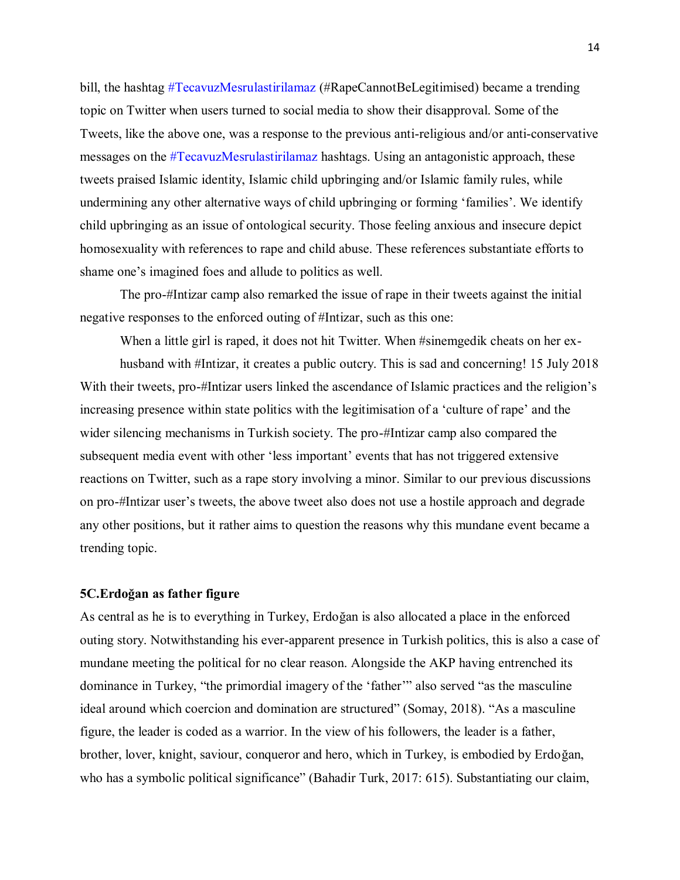bill, the hashtag #TecavuzMesrulastirilamaz (#RapeCannotBeLegitimised) became a trending topic on Twitter when users turned to social media to show their disapproval. Some of the Tweets, like the above one, was a response to the previous anti-religious and/or anti-conservative messages on the #TecavuzMesrulastirilamaz hashtags. Using an antagonistic approach, these tweets praised Islamic identity, Islamic child upbringing and/or Islamic family rules, while undermining any other alternative ways of child upbringing or forming 'families'. We identify child upbringing as an issue of ontological security. Those feeling anxious and insecure depict homosexuality with references to rape and child abuse. These references substantiate efforts to shame one's imagined foes and allude to politics as well.

The pro-#Intizar camp also remarked the issue of rape in their tweets against the initial negative responses to the enforced outing of #Intizar, such as this one:

When a little girl is raped, it does not hit Twitter. When #sinemgedik cheats on her exhusband with #Intizar, it creates a public outcry. This is sad and concerning! 15 July 2018 With their tweets, pro-#Intizar users linked the ascendance of Islamic practices and the religion's increasing presence within state politics with the legitimisation of a 'culture of rape' and the wider silencing mechanisms in Turkish society. The pro-#Intizar camp also compared the subsequent media event with other 'less important' events that has not triggered extensive reactions on Twitter, such as a rape story involving a minor. Similar to our previous discussions on pro-#Intizar user's tweets, the above tweet also does not use a hostile approach and degrade any other positions, but it rather aims to question the reasons why this mundane event became a trending topic.

## **5C.Erdoğan as father figure**

As central as he is to everything in Turkey, Erdoğan is also allocated a place in the enforced outing story. Notwithstanding his ever-apparent presence in Turkish politics, this is also a case of mundane meeting the political for no clear reason. Alongside the AKP having entrenched its dominance in Turkey, "the primordial imagery of the 'father'" also served "as the masculine ideal around which coercion and domination are structured" (Somay, 2018). "As a masculine figure, the leader is coded as a warrior. In the view of his followers, the leader is a father, brother, lover, knight, saviour, conqueror and hero, which in Turkey, is embodied by Erdoğan, who has a symbolic political significance" (Bahadir Turk, 2017: 615). Substantiating our claim,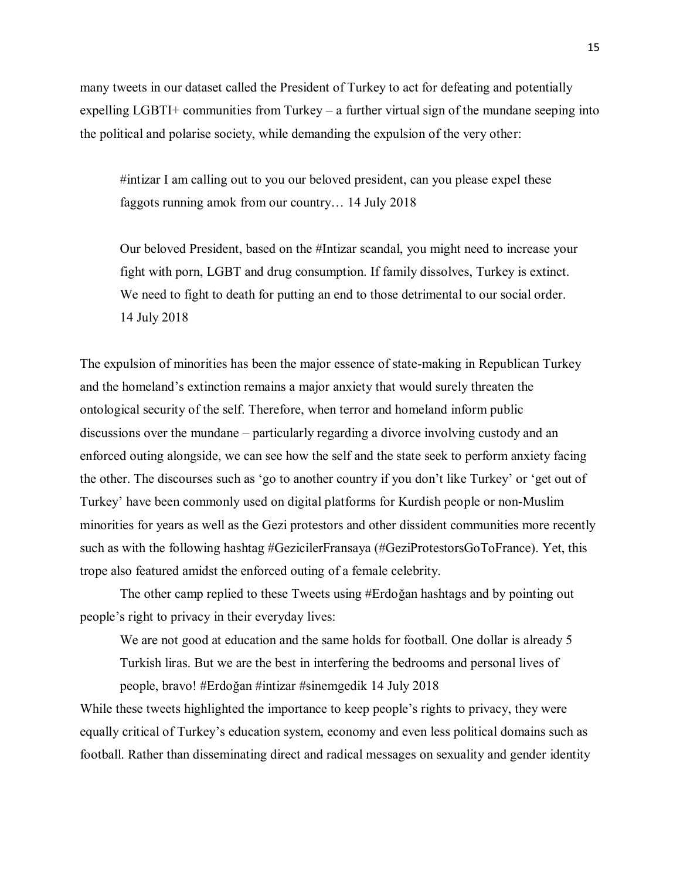many tweets in our dataset called the President of Turkey to act for defeating and potentially expelling LGBTI+ communities from Turkey – a further virtual sign of the mundane seeping into the political and polarise society, while demanding the expulsion of the very other:

#intizar I am calling out to you our beloved president, can you please expel these faggots running amok from our country… 14 July 2018

Our beloved President, based on the #Intizar scandal, you might need to increase your fight with porn, LGBT and drug consumption. If family dissolves, Turkey is extinct. We need to fight to death for putting an end to those detrimental to our social order. 14 July 2018

The expulsion of minorities has been the major essence of state-making in Republican Turkey and the homeland's extinction remains a major anxiety that would surely threaten the ontological security of the self. Therefore, when terror and homeland inform public discussions over the mundane – particularly regarding a divorce involving custody and an enforced outing alongside, we can see how the self and the state seek to perform anxiety facing the other. The discourses such as 'go to another country if you don't like Turkey' or 'get out of Turkey' have been commonly used on digital platforms for Kurdish people or non-Muslim minorities for years as well as the Gezi protestors and other dissident communities more recently such as with the following hashtag #GezicilerFransaya (#GeziProtestorsGoToFrance). Yet, this trope also featured amidst the enforced outing of a female celebrity.

The other camp replied to these Tweets using #Erdoğan hashtags and by pointing out people's right to privacy in their everyday lives:

We are not good at education and the same holds for football. One dollar is already 5 Turkish liras. But we are the best in interfering the bedrooms and personal lives of people, bravo! #Erdoğan #intizar #sinemgedik 14 July 2018

While these tweets highlighted the importance to keep people's rights to privacy, they were equally critical of Turkey's education system, economy and even less political domains such as football. Rather than disseminating direct and radical messages on sexuality and gender identity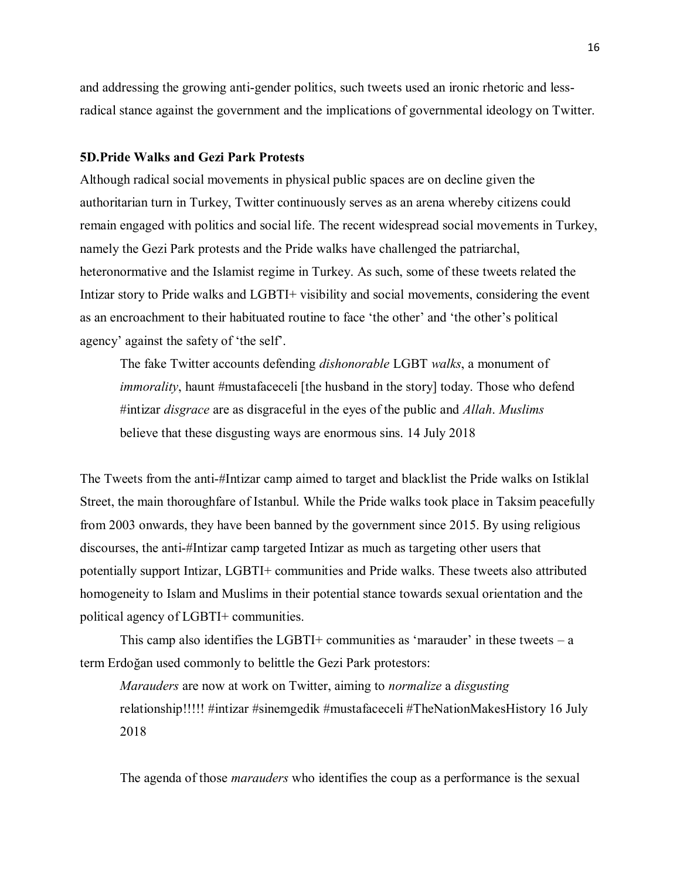and addressing the growing anti-gender politics, such tweets used an ironic rhetoric and lessradical stance against the government and the implications of governmental ideology on Twitter.

## **5D.Pride Walks and Gezi Park Protests**

Although radical social movements in physical public spaces are on decline given the authoritarian turn in Turkey, Twitter continuously serves as an arena whereby citizens could remain engaged with politics and social life. The recent widespread social movements in Turkey, namely the Gezi Park protests and the Pride walks have challenged the patriarchal, heteronormative and the Islamist regime in Turkey. As such, some of these tweets related the Intizar story to Pride walks and LGBTI+ visibility and social movements, considering the event as an encroachment to their habituated routine to face 'the other' and 'the other's political agency' against the safety of 'the self'.

The fake Twitter accounts defending *dishonorable* LGBT *walks*, a monument of *immorality*, haunt #mustafaceceli [the husband in the story] today. Those who defend #intizar *disgrace* are as disgraceful in the eyes of the public and *Allah*. *Muslims* believe that these disgusting ways are enormous sins. 14 July 2018

The Tweets from the anti-#Intizar camp aimed to target and blacklist the Pride walks on Istiklal Street, the main thoroughfare of Istanbul. While the Pride walks took place in Taksim peacefully from 2003 onwards, they have been banned by the government since 2015. By using religious discourses, the anti-#Intizar camp targeted Intizar as much as targeting other users that potentially support Intizar, LGBTI+ communities and Pride walks. These tweets also attributed homogeneity to Islam and Muslims in their potential stance towards sexual orientation and the political agency of LGBTI+ communities.

This camp also identifies the LGBTI+ communities as 'marauder' in these tweets  $-$  a term Erdoğan used commonly to belittle the Gezi Park protestors:

*Marauders* are now at work on Twitter, aiming to *normalize* a *disgusting* relationship!!!!! #intizar #sinemgedik #mustafaceceli #TheNationMakesHistory 16 July 2018

The agenda of those *marauders* who identifies the coup as a performance is the sexual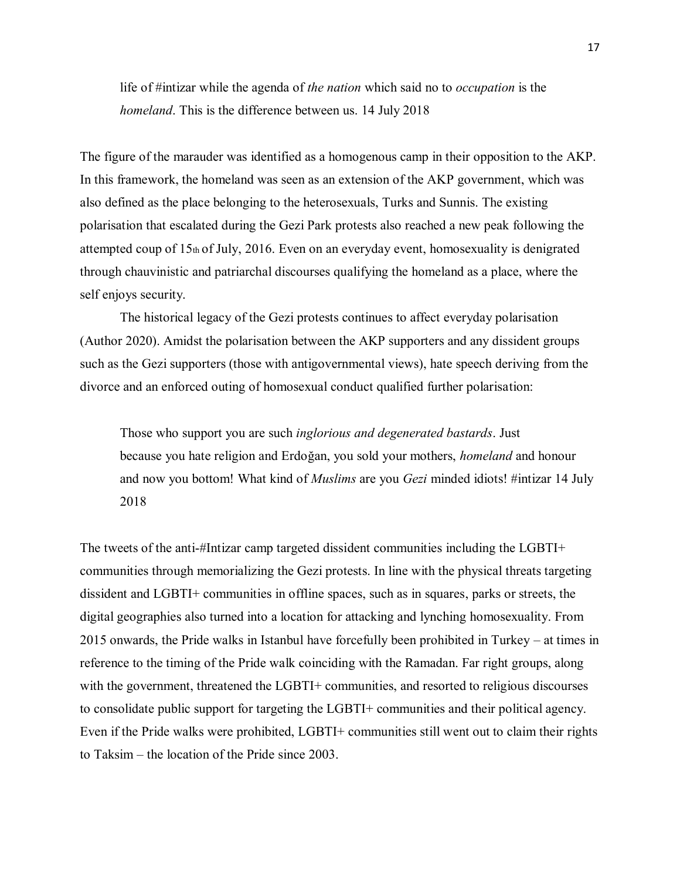life of #intizar while the agenda of *the nation* which said no to *occupation* is the *homeland*. This is the difference between us. 14 July 2018

The figure of the marauder was identified as a homogenous camp in their opposition to the AKP. In this framework, the homeland was seen as an extension of the AKP government, which was also defined as the place belonging to the heterosexuals, Turks and Sunnis. The existing polarisation that escalated during the Gezi Park protests also reached a new peak following the attempted coup of 15th of July, 2016. Even on an everyday event, homosexuality is denigrated through chauvinistic and patriarchal discourses qualifying the homeland as a place, where the self enjoys security.

The historical legacy of the Gezi protests continues to affect everyday polarisation (Author 2020). Amidst the polarisation between the AKP supporters and any dissident groups such as the Gezi supporters (those with antigovernmental views), hate speech deriving from the divorce and an enforced outing of homosexual conduct qualified further polarisation:

Those who support you are such *inglorious and degenerated bastards*. Just because you hate religion and Erdoğan, you sold your mothers, *homeland* and honour and now you bottom! What kind of *Muslims* are you *Gezi* minded idiots! #intizar 14 July 2018

The tweets of the anti-#Intizar camp targeted dissident communities including the LGBTI+ communities through memorializing the Gezi protests. In line with the physical threats targeting dissident and LGBTI+ communities in offline spaces, such as in squares, parks or streets, the digital geographies also turned into a location for attacking and lynching homosexuality. From 2015 onwards, the Pride walks in Istanbul have forcefully been prohibited in Turkey – at times in reference to the timing of the Pride walk coinciding with the Ramadan. Far right groups, along with the government, threatened the LGBTI+ communities, and resorted to religious discourses to consolidate public support for targeting the LGBTI+ communities and their political agency. Even if the Pride walks were prohibited, LGBTI+ communities still went out to claim their rights to Taksim – the location of the Pride since 2003.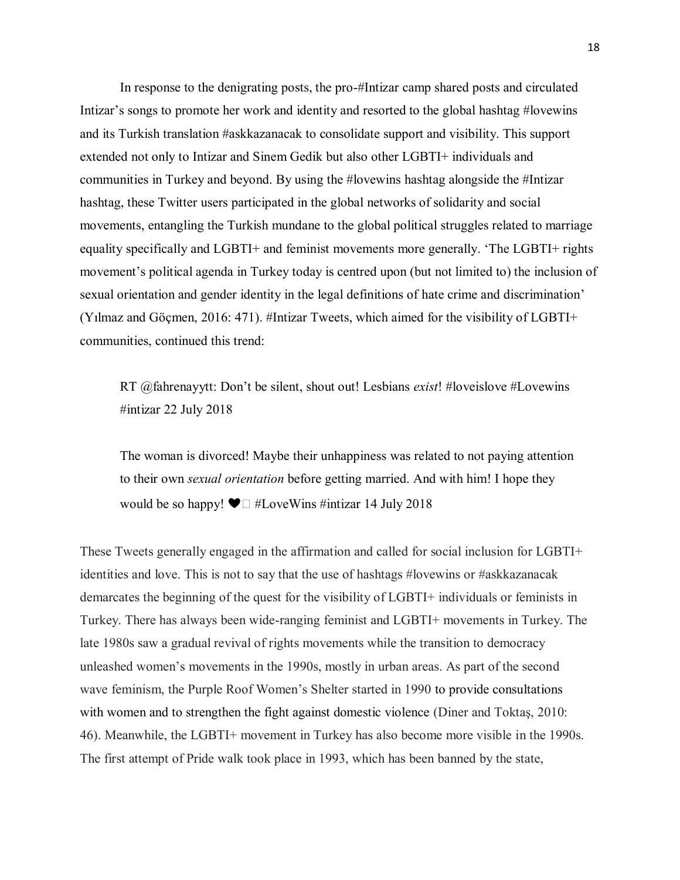In response to the denigrating posts, the pro-#Intizar camp shared posts and circulated Intizar's songs to promote her work and identity and resorted to the global hashtag #lovewins and its Turkish translation #askkazanacak to consolidate support and visibility. This support extended not only to Intizar and Sinem Gedik but also other LGBTI+ individuals and communities in Turkey and beyond. By using the #lovewins hashtag alongside the #Intizar hashtag, these Twitter users participated in the global networks of solidarity and social movements, entangling the Turkish mundane to the global political struggles related to marriage equality specifically and LGBTI+ and feminist movements more generally. 'The LGBTI+ rights movement's political agenda in Turkey today is centred upon (but not limited to) the inclusion of sexual orientation and gender identity in the legal definitions of hate crime and discrimination' (Yılmaz and Göçmen, 2016: 471). #Intizar Tweets, which aimed for the visibility of LGBTI+ communities, continued this trend:

RT @fahrenayytt: Don't be silent, shout out! Lesbians *exist*! #loveislove #Lovewins #intizar 22 July 2018

The woman is divorced! Maybe their unhappiness was related to not paying attention to their own *sexual orientation* before getting married. And with him! I hope they would be so happy!  $\blacktriangledown$  #LoveWins #intizar 14 July 2018

These Tweets generally engaged in the affirmation and called for social inclusion for LGBTI+ identities and love. This is not to say that the use of hashtags #lovewins or #askkazanacak demarcates the beginning of the quest for the visibility of LGBTI+ individuals or feminists in Turkey. There has always been wide-ranging feminist and LGBTI+ movements in Turkey. The late 1980s saw a gradual revival of rights movements while the transition to democracy unleashed women's movements in the 1990s, mostly in urban areas. As part of the second wave feminism, the Purple Roof Women's Shelter started in 1990 to provide consultations with women and to strengthen the fight against domestic violence (Diner and Toktaş, 2010: 46). Meanwhile, the LGBTI+ movement in Turkey has also become more visible in the 1990s. The first attempt of Pride walk took place in 1993, which has been banned by the state,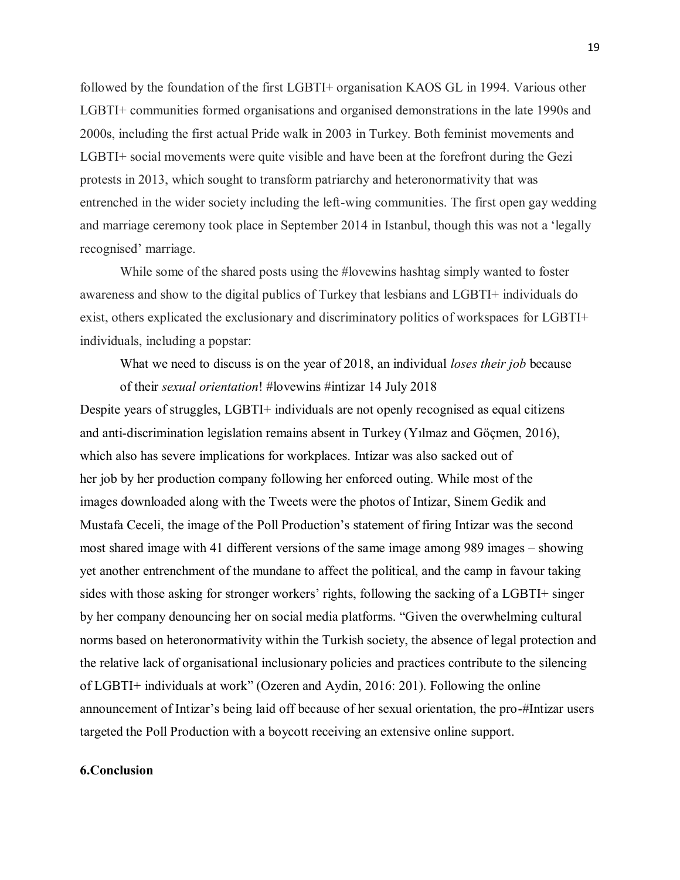followed by the foundation of the first LGBTI+ organisation KAOS GL in 1994. Various other LGBTI+ communities formed organisations and organised demonstrations in the late 1990s and 2000s, including the first actual Pride walk in 2003 in Turkey. Both feminist movements and LGBTI+ social movements were quite visible and have been at the forefront during the Gezi protests in 2013, which sought to transform patriarchy and heteronormativity that was entrenched in the wider society including the left-wing communities. The first open gay wedding and marriage ceremony took place in September 2014 in Istanbul, though this was not a 'legally recognised' marriage.

While some of the shared posts using the #lovewins hashtag simply wanted to foster awareness and show to the digital publics of Turkey that lesbians and LGBTI+ individuals do exist, others explicated the exclusionary and discriminatory politics of workspaces for LGBTI+ individuals, including a popstar:

What we need to discuss is on the year of 2018, an individual *loses their job* because of their *sexual orientation*! #lovewins #intizar 14 July 2018

Despite years of struggles, LGBTI+ individuals are not openly recognised as equal citizens and anti-discrimination legislation remains absent in Turkey (Yılmaz and Göçmen, 2016), which also has severe implications for workplaces. Intizar was also sacked out of her job by her production company following her enforced outing. While most of the images downloaded along with the Tweets were the photos of Intizar, Sinem Gedik and Mustafa Ceceli, the image of the Poll Production's statement of firing Intizar was the second most shared image with 41 different versions of the same image among 989 images – showing yet another entrenchment of the mundane to affect the political, and the camp in favour taking sides with those asking for stronger workers' rights, following the sacking of a LGBTI+ singer by her company denouncing her on social media platforms. "Given the overwhelming cultural norms based on heteronormativity within the Turkish society, the absence of legal protection and the relative lack of organisational inclusionary policies and practices contribute to the silencing of LGBTI+ individuals at work" (Ozeren and Aydin, 2016: 201). Following the online announcement of Intizar's being laid off because of her sexual orientation, the pro-#Intizar users targeted the Poll Production with a boycott receiving an extensive online support.

### **6.Conclusion**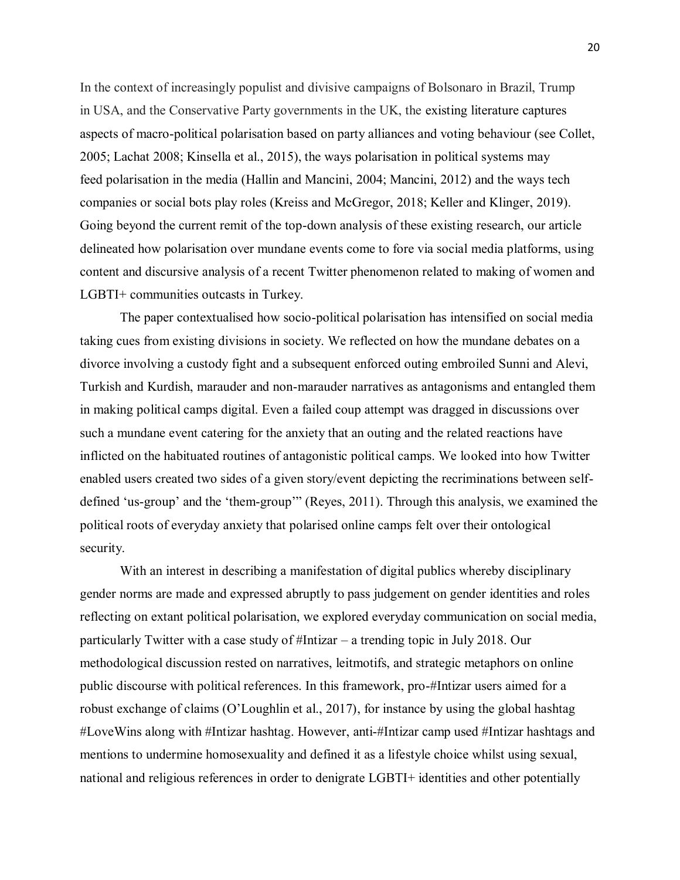In the context of increasingly populist and divisive campaigns of Bolsonaro in Brazil, Trump in USA, and the Conservative Party governments in the UK, the existing literature captures aspects of macro-political polarisation based on party alliances and voting behaviour (see Collet, 2005; Lachat 2008; Kinsella et al., 2015), the ways polarisation in political systems may feed polarisation in the media (Hallin and Mancini, 2004; Mancini, 2012) and the ways tech companies or social bots play roles (Kreiss and McGregor, 2018; Keller and Klinger, 2019). Going beyond the current remit of the top-down analysis of these existing research, our article delineated how polarisation over mundane events come to fore via social media platforms, using content and discursive analysis of a recent Twitter phenomenon related to making of women and LGBTI+ communities outcasts in Turkey.

The paper contextualised how socio-political polarisation has intensified on social media taking cues from existing divisions in society. We reflected on how the mundane debates on a divorce involving a custody fight and a subsequent enforced outing embroiled Sunni and Alevi, Turkish and Kurdish, marauder and non-marauder narratives as antagonisms and entangled them in making political camps digital. Even a failed coup attempt was dragged in discussions over such a mundane event catering for the anxiety that an outing and the related reactions have inflicted on the habituated routines of antagonistic political camps. We looked into how Twitter enabled users created two sides of a given story/event depicting the recriminations between selfdefined 'us-group' and the 'them-group'" (Reyes, 2011). Through this analysis, we examined the political roots of everyday anxiety that polarised online camps felt over their ontological security.

With an interest in describing a manifestation of digital publics whereby disciplinary gender norms are made and expressed abruptly to pass judgement on gender identities and roles reflecting on extant political polarisation, we explored everyday communication on social media, particularly Twitter with a case study of #Intizar – a trending topic in July 2018. Our methodological discussion rested on narratives, leitmotifs, and strategic metaphors on online public discourse with political references. In this framework, pro-#Intizar users aimed for a robust exchange of claims (O'Loughlin et al., 2017), for instance by using the global hashtag #LoveWins along with #Intizar hashtag. However, anti-#Intizar camp used #Intizar hashtags and mentions to undermine homosexuality and defined it as a lifestyle choice whilst using sexual, national and religious references in order to denigrate LGBTI+ identities and other potentially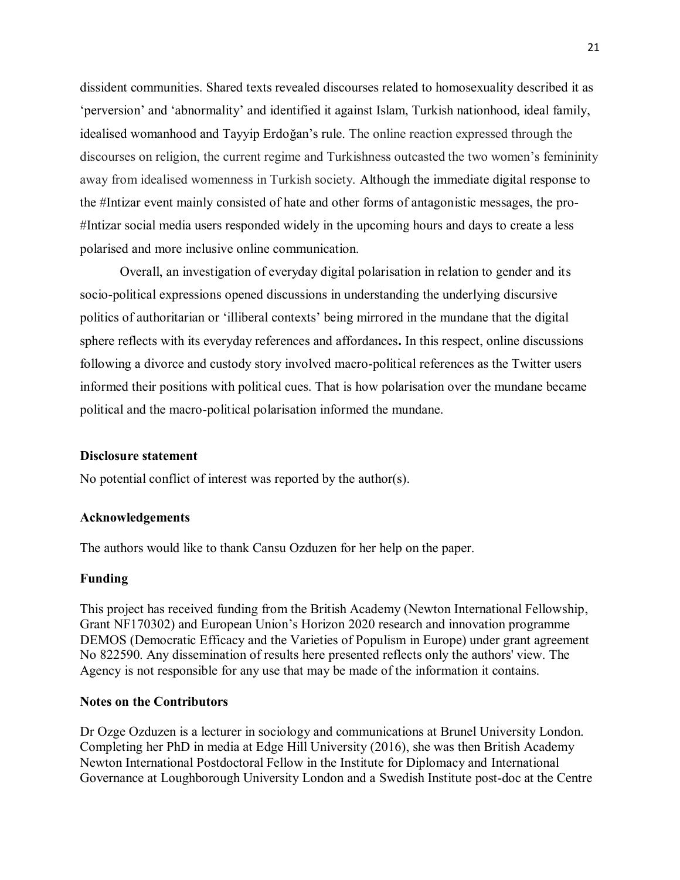dissident communities. Shared texts revealed discourses related to homosexuality described it as 'perversion' and 'abnormality' and identified it against Islam, Turkish nationhood, ideal family, idealised womanhood and Tayyip Erdoğan's rule. The online reaction expressed through the discourses on religion, the current regime and Turkishness outcasted the two women's femininity away from idealised womenness in Turkish society. Although the immediate digital response to the #Intizar event mainly consisted of hate and other forms of antagonistic messages, the pro- #Intizar social media users responded widely in the upcoming hours and days to create a less polarised and more inclusive online communication.

Overall, an investigation of everyday digital polarisation in relation to gender and its socio-political expressions opened discussions in understanding the underlying discursive politics of authoritarian or 'illiberal contexts' being mirrored in the mundane that the digital sphere reflects with its everyday references and affordances**.** In this respect, online discussions following a divorce and custody story involved macro-political references as the Twitter users informed their positions with political cues. That is how polarisation over the mundane became political and the macro-political polarisation informed the mundane.

## **Disclosure statement**

No potential conflict of interest was reported by the author(s).

## **Acknowledgements**

The authors would like to thank Cansu Ozduzen for her help on the paper.

#### **Funding**

This project has received funding from the British Academy (Newton International Fellowship, Grant NF170302) and European Union's Horizon 2020 research and innovation programme DEMOS (Democratic Efficacy and the Varieties of Populism in Europe) under grant agreement No 822590. Any dissemination of results here presented reflects only the authors' view. The Agency is not responsible for any use that may be made of the information it contains.

#### **Notes on the Contributors**

Dr Ozge Ozduzen is a lecturer in sociology and communications at Brunel University London. Completing her PhD in media at Edge Hill University (2016), she was then British Academy Newton International Postdoctoral Fellow in the Institute for Diplomacy and International Governance at Loughborough University London and a Swedish Institute post-doc at the Centre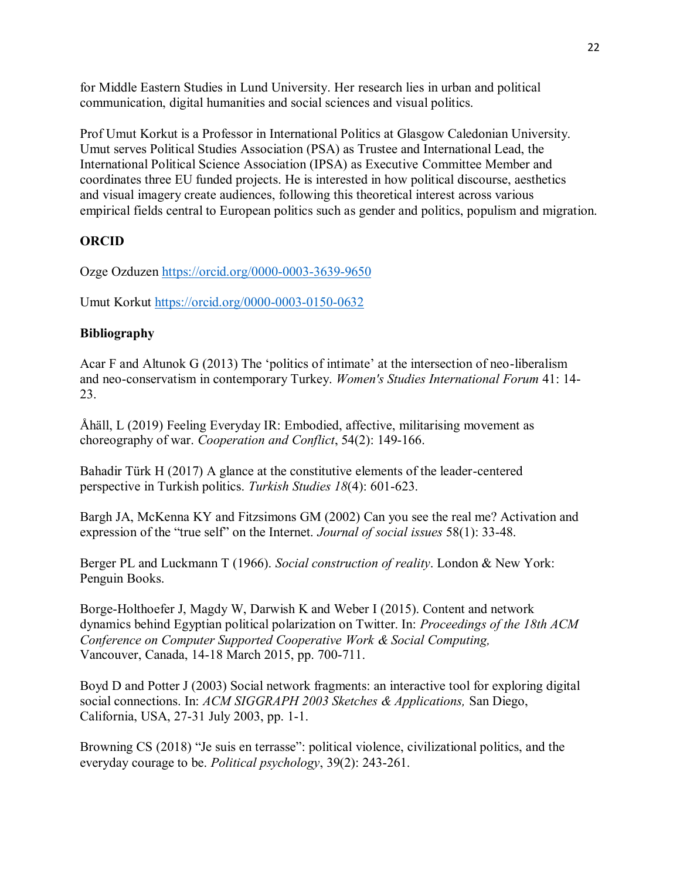for Middle Eastern Studies in Lund University. Her research lies in urban and political communication, digital humanities and social sciences and visual politics.

Prof Umut Korkut is a Professor in International Politics at Glasgow Caledonian University. Umut serves Political Studies Association (PSA) as Trustee and International Lead, the International Political Science Association (IPSA) as Executive Committee Member and coordinates three EU funded projects. He is interested in how political discourse, aesthetics and visual imagery create audiences, following this theoretical interest across various empirical fields central to European politics such as gender and politics, populism and migration.

# **ORCID**

Ozge Ozduzen<https://orcid.org/0000-0003-3639-9650>

Umut Korkut<https://orcid.org/0000-0003-0150-0632>

# **Bibliography**

Acar F and Altunok G (2013) The 'politics of intimate' at the intersection of neo-liberalism and neo-conservatism in contemporary Turkey. *Women's Studies International Forum* 41: 14- 23.

Åhäll, L (2019) Feeling Everyday IR: Embodied, affective, militarising movement as choreography of war. *Cooperation and Conflict*, 54(2): 149-166.

Bahadir Türk H (2017) A glance at the constitutive elements of the leader-centered perspective in Turkish politics. *Turkish Studies 18*(4): 601-623.

Bargh JA, McKenna KY and Fitzsimons GM (2002) Can you see the real me? Activation and expression of the "true self" on the Internet. *Journal of social issues* 58(1): 33-48.

Berger PL and Luckmann T (1966). *Social construction of reality*. London & New York: Penguin Books.

Borge-Holthoefer J, Magdy W, Darwish K and Weber I (2015). Content and network dynamics behind Egyptian political polarization on Twitter. In: *Proceedings of the 18th ACM Conference on Computer Supported Cooperative Work & Social Computing,* Vancouver, Canada, 14-18 March 2015, pp. 700-711.

Boyd D and Potter J (2003) Social network fragments: an interactive tool for exploring digital social connections. In: *ACM SIGGRAPH 2003 Sketches & Applications,* San Diego, California, USA, 27-31 July 2003, pp. 1-1.

Browning CS (2018) "Je suis en terrasse": political violence, civilizational politics, and the everyday courage to be. *Political psychology*, 39(2): 243-261.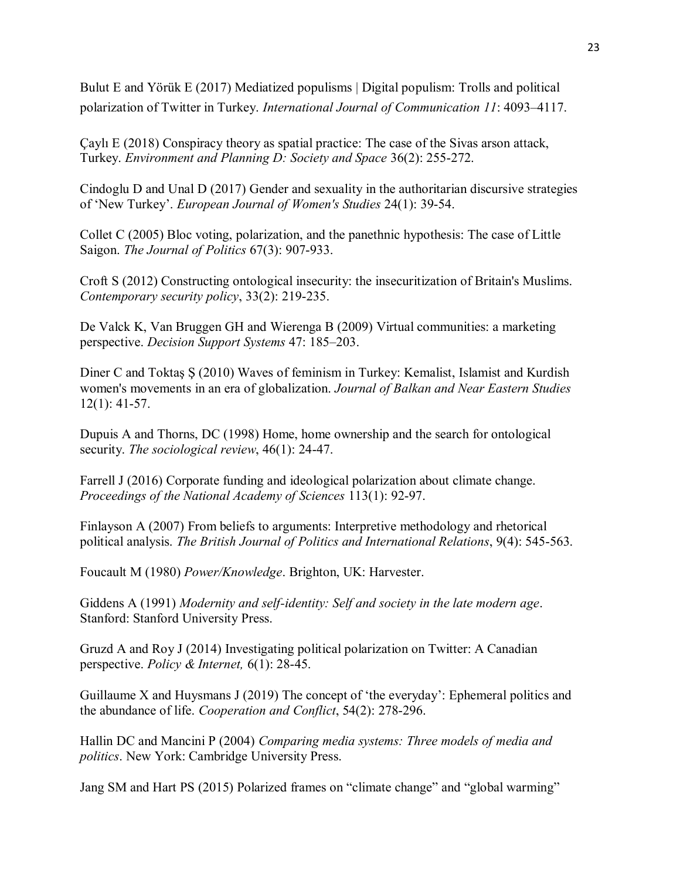Bulut E and Yörük E (2017) Mediatized populisms | Digital populism: Trolls and political polarization of Twitter in Turkey. *International Journal of Communication 11*: 4093–4117.

Çaylı E (2018) Conspiracy theory as spatial practice: The case of the Sivas arson attack, Turkey. *Environment and Planning D: Society and Space* 36(2): 255-272.

Cindoglu D and Unal D (2017) Gender and sexuality in the authoritarian discursive strategies of 'New Turkey'. *European Journal of Women's Studies* 24(1): 39-54.

Collet C (2005) Bloc voting, polarization, and the panethnic hypothesis: The case of Little Saigon. *The Journal of Politics* 67(3): 907-933.

Croft S (2012) Constructing ontological insecurity: the insecuritization of Britain's Muslims. *Contemporary security policy*, 33(2): 219-235.

De Valck K, Van Bruggen GH and Wierenga B (2009) Virtual communities: a marketing perspective. *Decision Support Systems* 47: 185–203.

Diner C and Toktaş Ş (2010) Waves of feminism in Turkey: Kemalist, Islamist and Kurdish women's movements in an era of globalization. *Journal of Balkan and Near Eastern Studies* 12(1): 41-57.

Dupuis A and Thorns, DC (1998) Home, home ownership and the search for ontological security. *The sociological review*, 46(1): 24-47.

Farrell J (2016) Corporate funding and ideological polarization about climate change. *Proceedings of the National Academy of Sciences* 113(1): 92-97.

Finlayson A (2007) From beliefs to arguments: Interpretive methodology and rhetorical political analysis. *The British Journal of Politics and International Relations*, 9(4): 545-563.

Foucault M (1980) *Power/Knowledge*. Brighton, UK: Harvester.

Giddens A (1991) *Modernity and self-identity: Self and society in the late modern age*. Stanford: Stanford University Press.

Gruzd A and Roy J (2014) Investigating political polarization on Twitter: A Canadian perspective. *Policy & Internet,* 6(1): 28-45.

Guillaume X and Huysmans J (2019) The concept of 'the everyday': Ephemeral politics and the abundance of life. *Cooperation and Conflict*, 54(2): 278-296.

Hallin DC and Mancini P (2004) *Comparing media systems: Three models of media and politics*. New York: Cambridge University Press.

Jang SM and Hart PS (2015) Polarized frames on "climate change" and "global warming"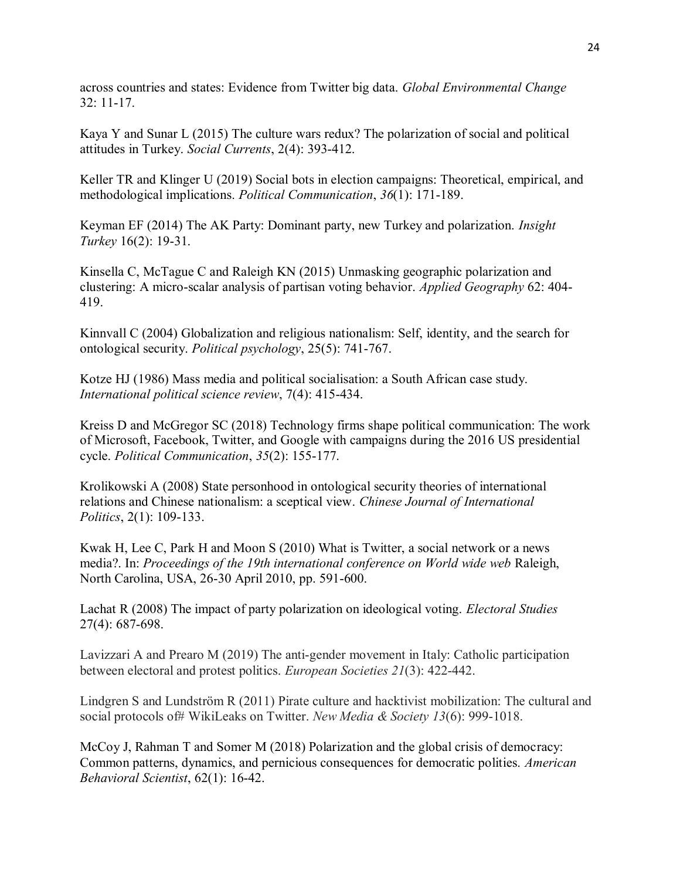across countries and states: Evidence from Twitter big data. *Global Environmental Change* 32: 11-17.

Kaya Y and Sunar L (2015) The culture wars redux? The polarization of social and political attitudes in Turkey. *Social Currents*, 2(4): 393-412.

Keller TR and Klinger U (2019) Social bots in election campaigns: Theoretical, empirical, and methodological implications. *Political Communication*, *36*(1): 171-189.

Keyman EF (2014) The AK Party: Dominant party, new Turkey and polarization. *Insight Turkey* 16(2): 19-31.

Kinsella C, McTague C and Raleigh KN (2015) Unmasking geographic polarization and clustering: A micro-scalar analysis of partisan voting behavior. *Applied Geography* 62: 404- 419.

Kinnvall C (2004) Globalization and religious nationalism: Self, identity, and the search for ontological security. *Political psychology*, 25(5): 741-767.

Kotze HJ (1986) Mass media and political socialisation: a South African case study. *International political science review*, 7(4): 415-434.

Kreiss D and McGregor SC (2018) Technology firms shape political communication: The work of Microsoft, Facebook, Twitter, and Google with campaigns during the 2016 US presidential cycle. *Political Communication*, *35*(2): 155-177.

Krolikowski A (2008) State personhood in ontological security theories of international relations and Chinese nationalism: a sceptical view. *Chinese Journal of International Politics*, 2(1): 109-133.

Kwak H, Lee C, Park H and Moon S (2010) What is Twitter, a social network or a news media?. In: *Proceedings of the 19th international conference on World wide web* Raleigh, North Carolina, USA, 26-30 April 2010, pp. 591-600.

Lachat R (2008) The impact of party polarization on ideological voting. *Electoral Studies* 27(4): 687-698.

Lavizzari A and Prearo M (2019) The anti-gender movement in Italy: Catholic participation between electoral and protest politics. *European Societies 21*(3): 422-442.

Lindgren S and Lundström R (2011) Pirate culture and hacktivist mobilization: The cultural and social protocols of# WikiLeaks on Twitter. *New Media & Society 13*(6): 999-1018.

McCoy J, Rahman T and Somer M (2018) Polarization and the global crisis of democracy: Common patterns, dynamics, and pernicious consequences for democratic polities. *American Behavioral Scientist*, 62(1): 16-42.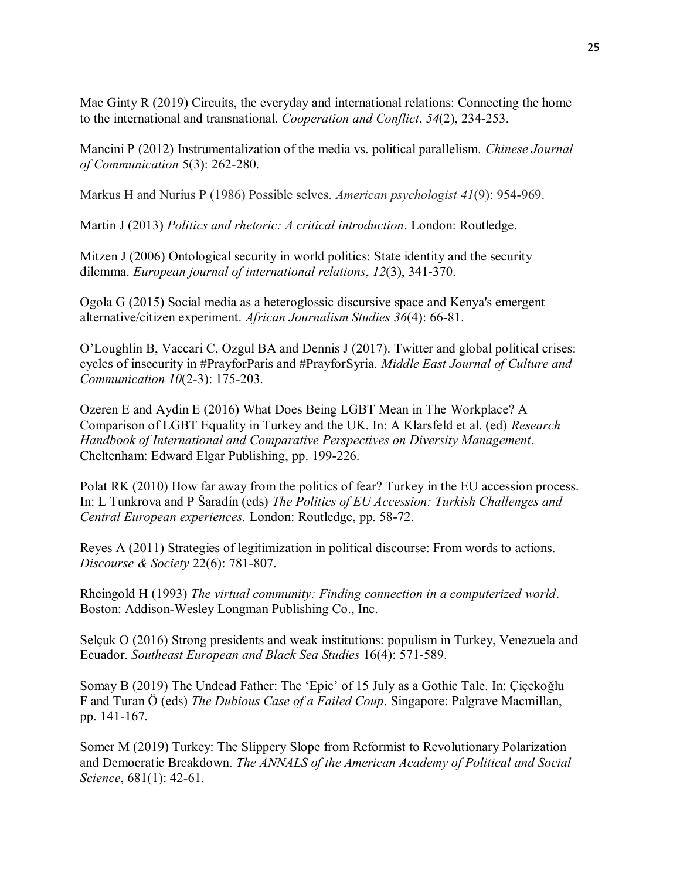Mac Ginty R (2019) Circuits, the everyday and international relations: Connecting the home to the international and transnational. *Cooperation and Conflict*, *54*(2), 234-253.

Mancini P (2012) Instrumentalization of the media vs. political parallelism. *Chinese Journal of Communication* 5(3): 262-280.

Markus H and Nurius P (1986) Possible selves. *American psychologist 41*(9): 954-969.

Martin J (2013) *Politics and rhetoric: A critical introduction*. London: Routledge.

Mitzen J (2006) Ontological security in world politics: State identity and the security dilemma. *European journal of international relations*, *12*(3), 341-370.

Ogola G (2015) Social media as a heteroglossic discursive space and Kenya's emergent alternative/citizen experiment. *African Journalism Studies 36*(4): 66-81.

O'Loughlin B, Vaccari C, Ozgul BA and Dennis J (2017). Twitter and global political crises: cycles of insecurity in #PrayforParis and #PrayforSyria. *Middle East Journal of Culture and Communication 10*(2-3): 175-203.

Ozeren E and Aydin E (2016) What Does Being LGBT Mean in The Workplace? A Comparison of LGBT Equality in Turkey and the UK. In: A Klarsfeld et al. (ed) *Research Handbook of International and Comparative Perspectives on Diversity Management*. Cheltenham: Edward Elgar Publishing, pp. 199-226.

Polat RK (2010) How far away from the politics of fear? Turkey in the EU accession process. In: L Tunkrova and P Šaradín (eds) *The Politics of EU Accession: Turkish Challenges and Central European experiences.* London: Routledge, pp. 58-72.

Reyes A (2011) Strategies of legitimization in political discourse: From words to actions. *Discourse & Society* 22(6): 781-807.

Rheingold H (1993) *The virtual community: Finding connection in a computerized world*. Boston: Addison-Wesley Longman Publishing Co., Inc.

Selçuk O (2016) Strong presidents and weak institutions: populism in Turkey, Venezuela and Ecuador. *Southeast European and Black Sea Studies* 16(4): 571-589.

Somay B (2019) The Undead Father: The 'Epic' of 15 July as a Gothic Tale. In: Çiçekoğlu F and Turan Ö (eds) *The Dubious Case of a Failed Coup*. Singapore: Palgrave Macmillan, pp. 141-167.

Somer M (2019) Turkey: The Slippery Slope from Reformist to Revolutionary Polarization and Democratic Breakdown. *The ANNALS of the American Academy of Political and Social Science*, 681(1): 42-61.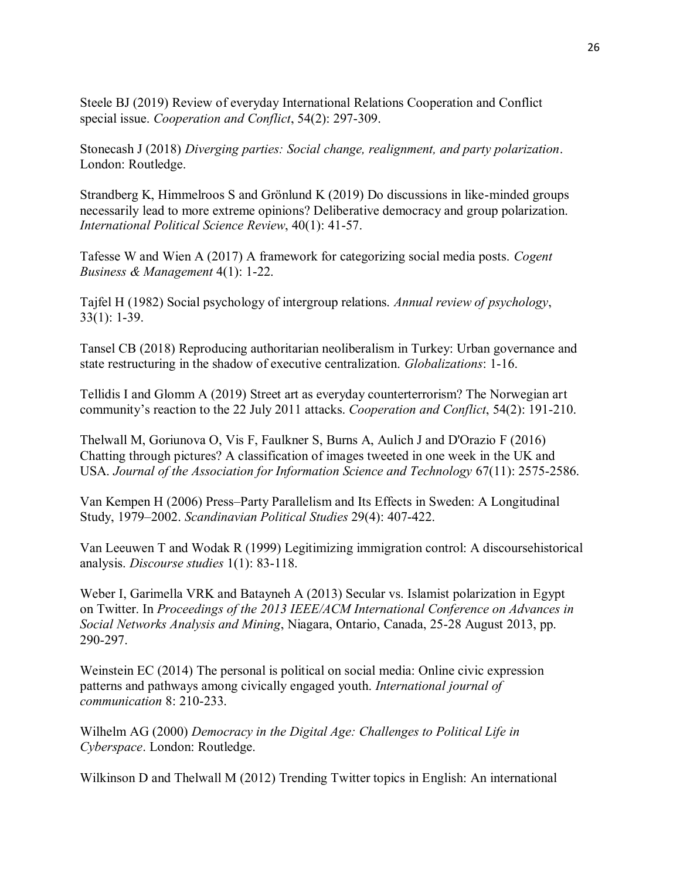Steele BJ (2019) Review of everyday International Relations Cooperation and Conflict special issue. *Cooperation and Conflict*, 54(2): 297-309.

Stonecash J (2018) *Diverging parties: Social change, realignment, and party polarization*. London: Routledge.

Strandberg K, Himmelroos S and Grönlund K (2019) Do discussions in like-minded groups necessarily lead to more extreme opinions? Deliberative democracy and group polarization. *International Political Science Review*, 40(1): 41-57.

Tafesse W and Wien A (2017) A framework for categorizing social media posts. *Cogent Business & Management* 4(1): 1-22.

Tajfel H (1982) Social psychology of intergroup relations. *Annual review of psychology*, 33(1): 1-39.

Tansel CB (2018) Reproducing authoritarian neoliberalism in Turkey: Urban governance and state restructuring in the shadow of executive centralization. *Globalizations*: 1-16.

Tellidis I and Glomm A (2019) Street art as everyday counterterrorism? The Norwegian art community's reaction to the 22 July 2011 attacks. *Cooperation and Conflict*, 54(2): 191-210.

Thelwall M, Goriunova O, Vis F, Faulkner S, Burns A, Aulich J and D'Orazio F (2016) Chatting through pictures? A classification of images tweeted in one week in the UK and USA. *Journal of the Association for Information Science and Technology* 67(11): 2575-2586.

Van Kempen H (2006) Press–Party Parallelism and Its Effects in Sweden: A Longitudinal Study, 1979–2002. *Scandinavian Political Studies* 29(4): 407-422.

Van Leeuwen T and Wodak R (1999) Legitimizing immigration control: A discoursehistorical analysis. *Discourse studies* 1(1): 83-118.

Weber I, Garimella VRK and Batayneh A (2013) Secular vs. Islamist polarization in Egypt on Twitter. In *Proceedings of the 2013 IEEE/ACM International Conference on Advances in Social Networks Analysis and Mining*, Niagara, Ontario, Canada, 25-28 August 2013, pp. 290-297.

Weinstein EC (2014) The personal is political on social media: Online civic expression patterns and pathways among civically engaged youth. *International journal of communication* 8: 210-233.

Wilhelm AG (2000) *Democracy in the Digital Age: Challenges to Political Life in Cyberspace*. London: Routledge.

Wilkinson D and Thelwall M (2012) Trending Twitter topics in English: An international